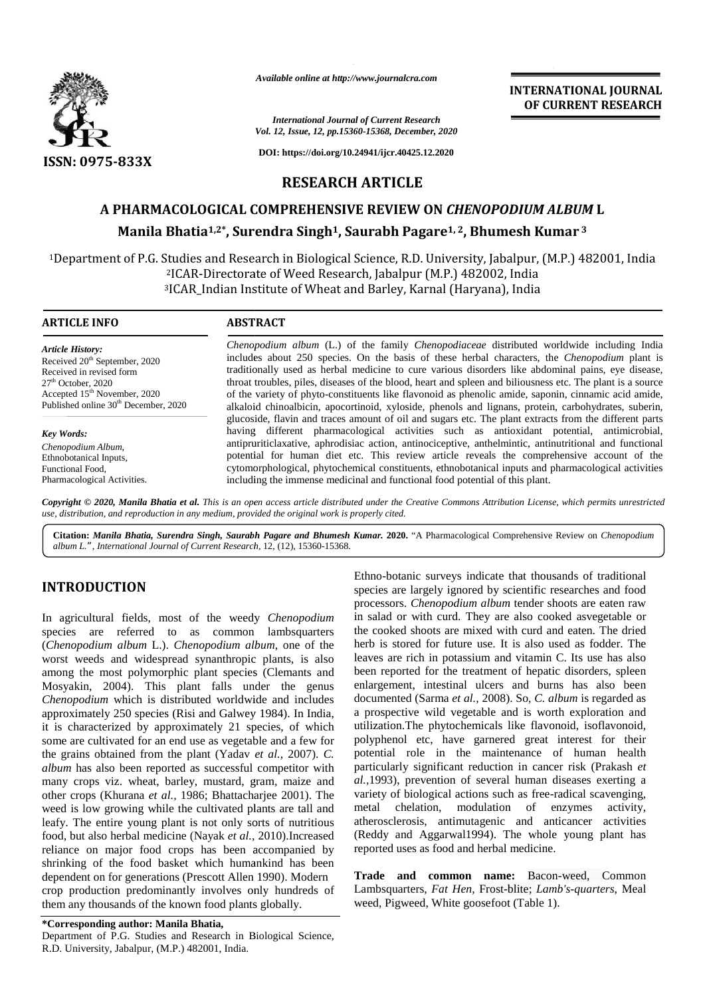

*Available online at http://www.journalcra.com*

*International Journal of Current Research Vol. 12, Issue, 12, pp.15360-15368, December, 2020* **INTERNATIONAL JOURNAL OF CURRENT RESEARCH**

**DOI: https://doi.org/10.24941/ijcr.40425.12.2020**

# **RESEARCH ARTICLE**

# **A PHARMACOLOGICAL COMPREHENSIVE REVIEW ON** *CHENOPODIUM ALBUM* **L Manila Bhatia1,2\* , Surendra Singh1, Saurabh Pagare1, <sup>2</sup>, Bhumesh Kumar <sup>3</sup> AManilaSingh, Bhumesh**

1Department of P.G. Studies and Research in Biological Science, R.D. University, Jabalpur, (M.P.) 482001, India<br><sup>2</sup>ICAR-Directorate of Weed Research, Jabalpur (M.P.) 482002, India <sup>2</sup>ICAR-Directorate of Weed Research, Jabalpur (M.P.) 482002, India <sup>3</sup>ICAR\_Indian Institute of Wheat and Barley, Karnal (Haryana), India

#### **ARTICLE INFO ABSTRACT ARTICLE ABSTRACT**

*Article History:* Received 20<sup>th</sup> September, 2020 Received in revised form 27<sup>th</sup> October, 2020 Accepted  $15<sup>th</sup>$  November, 2020 Published online 30<sup>th</sup> December, 2020

*Key Words: Chenopodium Album*, Ethnobotanical Inputs, Functional Food, Pharmacological Activities.

*Chenopodium album* (L.) of the family *Chenopodiaceae* distributed worldwide including India includes about 250 species. On the basis of these herbal characters, the *Chenopodium* plant is traditionally used as herbal medicine to cure various disorders like abdominal pains, eye disease, throat troubles, piles, diseases of the blood, heart and spleen and biliousness etc. The plant is a source of the variety of phyto-constituents like flavonoid as phenolic amide, saponin, cinnamic acid amide, *Chenopodium album* (L.) of the family *Chenopodiaceae* distributed worldwide including India includes about 250 species. On the basis of these herbal characters, the *Chenopodium* plant is traditionally used as herbal med glucoside, flavin and traces amount of oil and sugars etc. The plant extracts from the different parts having different pharmacological activities such as antioxidant potential, antimicrobial, antipruriticlaxative, aphrodisiac action, antinociceptive, anthelmintic, antinutritional and functional potential for human diet etc. This review article reveals the comprehensive account of the cytomorphological, phytochemical constituents, ethnobotanical inputs and pharmacological activities including the immense medicinal and functional food potential of this plant. glucoside, flavin and traces amount of oil and sugars etc. The plant extracts from the different parts having different pharmacological activities such as antioxidant potential, antimicrobial, antipruriticlaxative, aphrodi *Manila Singh,Kumar.ChenopodiumL." http://www.journalcra.com*

**Copyright © 2020, Manila Bhatia et al.** This is an open access article distributed under the Creative Commons Attribution License, which permits unrestricted<br>use, distribution, and reproduction in any medium, provided the *use, distribution, and reproduction in any medium, provided the original work is properly cited.*

**Citation:** *Manila Bhatia, Surendra Singh, Saurabh Pagare and Bhumesh Kumar.* **2020.** "A Pharmacological Comprehensive Review on *Chenopodium album L.", International Journal of Current Research*, 12, (12), 15360-15368.

# **INTRODUCTION INTRODUCTION**

In agricultural fields, most of the weedy *Chenopodium* species are referred to as common lambsquarters (*Chenopodium album* L.). *Chenopodium album*, one of the worst weeds and widespread synanthropic plants, is also among the most polymorphic plant species (Clemants and Mosyakin, 2004). This plant falls under the genus *Chenopodium* which is distributed worldwide and includes *Chenopodium* which is distributed worldwide and includes approximately 250 species (Risi and Galwey 1984). In India, it is characterized by approximately 21 species, of which some are cultivated for an end use as vegetable and a few for polyp the grains obtained from the plant (Yadav *et al.,* 2007). *C. album* has also been reported as successful competitor with album has also been reported as successful competitor with partionally partionally particularly particularly particularly crops viz. wheat, barley, mustard, gram, maize and al., 19 other crops (Khurana *et al.,* 1986; Bhattacharjee 2001). The other crops (Khurana *et al.*, 1986; Bhattacharjee 2001). The varie weed is low growing while the cultivated plants are tall and meta leafy. The entire young plant is not only sorts of nutritious leafy. The entire young plant is not only sorts of nutritious ather food, but also herbal medicine (Nayak *et al.*, 2010).Increased (Red reliance on major food crops has been accompanied by shrinking of the food basket which humankind has been dependent on for generations (Prescott Allen 1990). Modern crop production predominantly involves only hundreds of them any thousands of the known food plants globally. In agricultural fields, most of the weedy *Chenopoa*<br>species are referred to as common lambsquar<br>(*Chenopodium album* L.). *Chenopodium album*, one of<br>worst weeds and widespread synanthropic plants, is<br>among the most polym it is characterized by approximately 21 species, of which utilize some are cultivated for an end use as vegetable and a few for polyp the grains obtained from the plant (Yadav *et al.*, 2007). C. poten reliance on major food crops has been accompanied b<br>shrinking of the food basket which humankind has bee<br>dependent on for generations (Prescott Allen 1990). Modern<br>crop production predominantly involves only hundreds o **CARRIE CONTENT RESEARCH (ADMOSTER COMMUNISMERATION CONTENT ARESEARCH (ADMOSTER COMMUNISMER) for the sum of the sum of the sum of the sum of the sum of the sum of the sum of the sum of the sum of the sum of the sum of the** 

Ethno-botanic surveys indicate that thousands of traditional species are largely ignored by scientific researches and food processors. *Chenopodium album* tender shoots are eaten raw in salad or with curd. They are also cooked asvegetable or the cooked shoots are mixed with curd and eaten. The dried herb is stored for future use. It is also used as fodder. The leaves are rich in potassium and vitamin C. Its use has also been reported for the treatment of hepatic disorders, spleen enlargement, intestinal ulcers and burns has also been documented (Sarma *et al.,* 2008). So, *C. album* is regarded as a prospective wild vegetable and is worth exploration and utilization.The phytochemicals like flavonoid, isoflavonoid, polyphenol etc, have garnered great interest for their potential role in the maintenance of human health particularly significant reduction in cancer risk (Prakash *et al.,*1993), prevention of several human diseases exerting a variety of biological actions such as free-radical scavenging, metal chelation, modulation of enzymes activity, atherosclerosis, antimutagenic and anticancer activities (Reddy and Aggarwal1994). The whole young plant has reported uses as food and herbal medicine. **INTERN.**<br>
Vol. 12, tour, 12, py 15.866/15868, December, 2029<br>
DOE CIU<br>
Vol. 12, tour, 12, py 15.866/15868, December, 2029<br>
DOE intrys://dology/10.24941/igtr.40425.12.2020<br>
DOE intrys://dology/10.24941/igtr.40425.12.2020<br>

**Trade and common name:** Bacon-weed, Common Lambsquarters, *Fat Hen,* Frost-blite; *Lamb's-quarters*, Meal weed, Pigweed, White goosefoot (Table 1).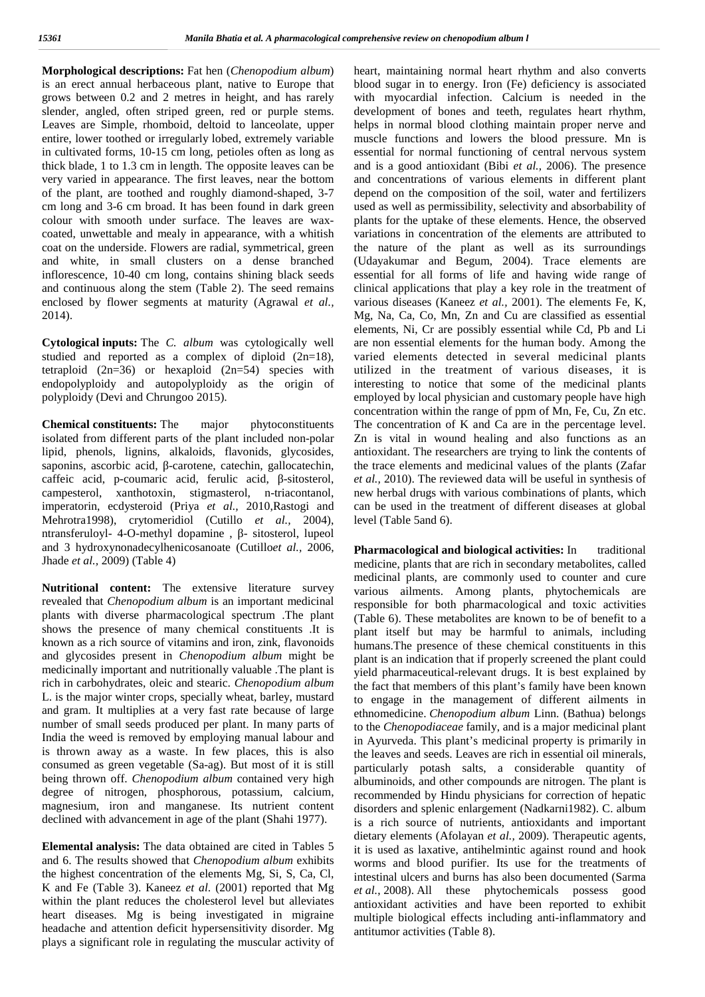**Morphological descriptions:** Fat hen (*Chenopodium album*) is an erect annual herbaceous plant, native to Europe that grows between 0.2 and 2 metres in height, and has rarely slender, angled, often striped green, red or purple stems. Leaves are Simple, rhomboid, deltoid to lanceolate, upper entire, lower toothed or irregularly lobed, extremely variable in cultivated forms, 10-15 cm long, petioles often as long as thick blade, 1 to 1.3 cm in length. The opposite leaves can be very varied in appearance. The first leaves, near the bottom of the plant, are toothed and roughly diamond-shaped, 3-7 cm longand 3-6 cm broad. It has been found in dark green colour with smooth under surface. The leaves are wax coated, unwettable and mealy in appearance, with a whitish coat on the underside. Flowers are radial, symmetrical, green and white, in small clusters on a dense branched inflorescence, 10-40 cm long, contains shining black seeds and continuous along the stem (Table 2). The seed remains enclosed by flower segments at maturity (Agrawal *et al.,* 2014).

**Cytological inputs:** The *C. album* was cytologically well studied and reported as a complex of diploid (2n=18), tetraploid  $(2n=36)$  or hexaploid  $(2n=54)$  species with endopolyploidy and autopolyploidy as the origin of polyploidy (Devi and Chrungoo 2015).

**Chemical constituents:** The major phytoconstituents isolated from different parts of the plant included non-polar lipid, phenols, lignins, alkaloids, flavonids, glycosides, saponins, ascorbic acid, -carotene, catechin, gallocatechin, caffeic acid, p-coumaric acid, ferulic acid, -sitosterol, campesterol, xanthotoxin, stigmasterol, n-triacontanol, imperatorin, ecdysteroid (Priya *et al.,* 2010,Rastogi and Mehrotra1998), crytomeridiol (Cutillo *et al.,* 2004), ntransferuloyl- 4-O-methyl dopamine , - sitosterol, lupeol and 3 hydroxynonadecylhenicosanoate (Cutillo*et al.,* 2006, Jhade *et al.,* 2009) (Table 4)

**Nutritional content:** The extensive literature survey revealed that *Chenopodium album* is an important medicinal plants with diverse pharmacological spectrum .The plant shows the presence of many chemical constituents .It is known as a rich source of vitamins and iron, zink, flavonoids and glycosides present in *Chenopodium album* might be medicinally important and nutritionally valuable .The plant is rich in carbohydrates, oleic and stearic. *Chenopodium album* L. is the major winter crops, specially wheat, barley, mustard and gram. It multiplies at a very fast rate because of large number of small seeds produced per plant. In many parts of India the weed is removed by employing manual labour and is thrown away as a waste. In few places, this is also consumed as green vegetable (Sa-ag). But most of it is still being thrown off.*Chenopodium album* contained very high degree of nitrogen, phosphorous, potassium, calcium, magnesium, iron and manganese. Its nutrient content declined with advancement in age of the plant (Shahi 1977).

**Elemental analysis:** The data obtained are cited in Tables 5 and 6. The results showed that *Chenopodium album* exhibits the highest concentration of the elements  $Mg$ , Si, S, Ca, Cl, K and Fe (Table 3). Kaneez *et al*. (2001) reported that Mg within the plant reduces the cholesterol level but alleviates heart diseases. Mg is being investigated in migraine headache and attention deficit hypersensitivity disorder. Mg plays a significant role in regulating the muscular activity of

heart, maintaining normal heart rhythm and also converts blood sugar in to energy. Iron (Fe) deficiency is associated with myocardial infection. Calcium is needed in the development of bones and teeth, regulates heart rhythm, helps in normal blood clothing maintain proper nerve and muscle functions and lowers the blood pressure. Mn is essential for normal functioning of central nervous system and is a good antioxidant (Bibi *et al.,* 2006). The presence and concentrations of various elements in different plant depend on the composition of the soil, water and fertilizers used as well as permissibility, selectivity and absorbability of plants for the uptake of these elements. Hence, the observed variations in concentration of the elements are attributed to the nature of the plant as well as its surroundings (Udayakumar and Begum, 2004). Trace elements are essential for all forms of life and having wide range of clinical applications that play a key role in the treatment of various diseases (Kaneez *et al.,* 2001). The elements Fe, K, Mg, Na, Ca, Co, Mn, Zn and Cu are classified as essential elements, Ni, Cr are possibly essential while Cd, Pb and Li are non essential elements for the human body. Among the varied elements detected in several medicinal plants utilized in the treatment of various diseases, it is interesting to notice that some of the medicinal plants employed by local physician and customary people have high concentration within the range of ppm of Mn, Fe, Cu, Zn etc. The concentration of K and Ca are in the percentage level. Zn is vital in wound healing and also functions as an antioxidant. The researchers are trying to link the contents of the trace elements and medicinal values of the plants (Zafar *et al.,* 2010). The reviewed data will be useful in synthesis of new herbal drugs with various combinations of plants, which can be used in the treatment of different diseases at global level (Table 5and 6).

**Pharmacological and biological activities:** In traditional medicine, plants that are rich in secondary metabolites, called medicinal plants, are commonly used to counter and cure various ailments. Among plants, phytochemicals are responsible for both pharmacological and toxic activities (Table 6).These metabolites are known to be of benefit to a plant itself but may be harmful to animals, including humans.The presence of these chemical constituents in this plant is an indication that if properly screened the plant could yield pharmaceutical-relevant drugs. It is best explained by the fact that members of this plant's family have been known to engage in the management of different ailments in ethnomedicine. *Chenopodium album* Linn. (Bathua) belongs to the *Chenopodiaceae* family, and is a major medicinal plant in Ayurveda. This plant's medicinal property is primarily in the leaves and seeds. Leaves are rich in essential oil minerals, particularly potash salts, a considerable quantity of albuminoids, and other compounds are nitrogen. The plant is recommended by Hindu physicians for correction of hepatic disorders and splenic enlargement (Nadkarni1982). C. album is a rich source of nutrients, antioxidants and important dietary elements (Afolayan *et al.,* 2009). Therapeutic agents, it is used as laxative, antihelmintic against round and hook worms and blood purifier. Its use for the treatments of intestinal ulcers and burns has also been documented (Sarma *et al.*, 2008). All these phytochemicals possess good antioxidant activities and have been reported to exhibit multiple biological effects including anti-inflammatory and antitumor activities (Table 8).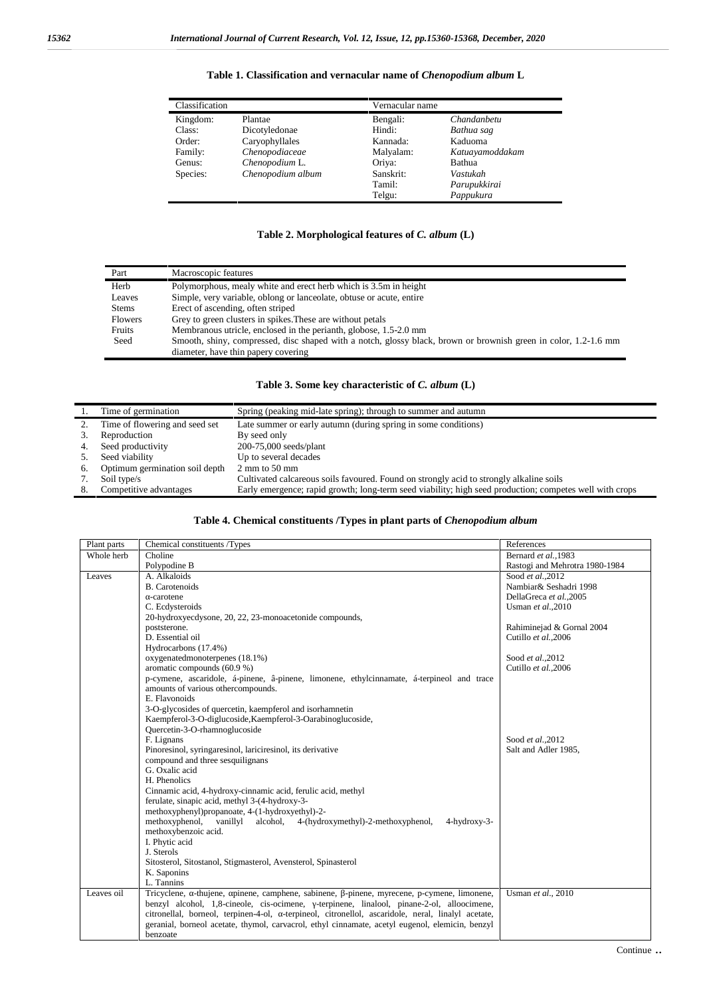| Table 1. Classification and vernacular name of <i>Chenopodium album</i> L |  |
|---------------------------------------------------------------------------|--|
|---------------------------------------------------------------------------|--|

| Classification |                   | Vernacular name |                 |
|----------------|-------------------|-----------------|-----------------|
| Kingdom:       | Plantae           | Bengali:        | Chandanbetu     |
| Class:         | Dicotyledonae     | Hindi:          | Bathua sag      |
| Order:         | Caryophyllales    | Kannada:        | Kaduoma         |
| Family:        | Chenopodiaceae    | Malyalam:       | Katuayamoddakam |
| Genus:         | Chenopodium L.    | Oriya:          | Bathua          |
| Species:       | Chenopodium album | Sanskrit:       | Vastukah        |
|                |                   | Tamil:          | Parupukkirai    |
|                |                   | Telgu:          | Pappukura       |

### **Table 2. Morphological features of** *C. album* **(L)**

| Part           | Macroscopic features                                                                                            |
|----------------|-----------------------------------------------------------------------------------------------------------------|
| Herb           | Polymorphous, mealy white and erect herb which is 3.5m in height                                                |
| Leaves         | Simple, very variable, oblong or lanceolate, obtuse or acute, entire                                            |
| <b>Stems</b>   | Erect of ascending, often striped                                                                               |
| <b>Flowers</b> | Grey to green clusters in spikes. These are without petals                                                      |
| Fruits         | Membranous utricle, enclosed in the perianth, globose, 1.5-2.0 mm                                               |
| Seed           | Smooth, shiny, compressed, disc shaped with a notch, glossy black, brown or brownish green in color, 1.2-1.6 mm |
|                | diameter, have thin papery covering                                                                             |

#### **Table 3. Some key characteristic of** *C. album* **(L)**

|    | Time of germination            | Spring (peaking mid-late spring); through to summer and autumn                                          |
|----|--------------------------------|---------------------------------------------------------------------------------------------------------|
|    | Time of flowering and seed set | Late summer or early autumn (during spring in some conditions)                                          |
|    | Reproduction                   | By seed only                                                                                            |
|    | Seed productivity              | $200-75,000$ seeds/plant                                                                                |
|    | Seed viability                 | Up to several decades                                                                                   |
| 6. | Optimum germination soil depth | $2 \text{ mm}$ to 50 mm                                                                                 |
|    | Soil type/s                    | Cultivated calcareous soils favoured. Found on strongly acid to strongly alkaline soils                 |
|    | Competitive advantages         | Early emergence; rapid growth; long-term seed viability; high seed production; competes well with crops |

#### **Table 4. Chemical constituents /Types in plant parts of** *Chenopodium album*

| Plant parts | Chemical constituents /Types                                                                      | References                     |
|-------------|---------------------------------------------------------------------------------------------------|--------------------------------|
| Whole herb  | Choline                                                                                           | Bernard et al., 1983           |
|             | Polypodine B                                                                                      | Rastogi and Mehrotra 1980-1984 |
| Leaves      | A. Alkaloids                                                                                      | Sood et al., 2012              |
|             | <b>B.</b> Carotenoids                                                                             | Nambiar& Seshadri 1998         |
|             | -carotene                                                                                         | DellaGreca et al.,2005         |
|             | C. Ecdysteroids                                                                                   | Usman et al., 2010             |
|             | 20-hydroxyecdysone, 20, 22, 23-monoacetonide compounds,                                           |                                |
|             | poststerone.                                                                                      | Rahiminejad & Gornal 2004      |
|             | D. Essential oil                                                                                  | Cutillo et al., 2006           |
|             | Hydrocarbons (17.4%)                                                                              |                                |
|             | oxygenatedmonoterpenes (18.1%)                                                                    | Sood et al., 2012              |
|             | aromatic compounds (60.9 %)                                                                       | Cutillo et al., 2006           |
|             | p-cymene, ascaridole, á-pinene, â-pinene, limonene, ethylcinnamate, á-terpineol and trace         |                                |
|             | amounts of various othercompounds.                                                                |                                |
|             | E. Flavonoids                                                                                     |                                |
|             | 3-O-glycosides of quercetin, kaempferol and isorhamnetin                                          |                                |
|             | Kaempferol-3-O-diglucoside, Kaempferol-3-Oarabinoglucoside,                                       |                                |
|             | Quercetin-3-O-rhamnoglucoside                                                                     |                                |
|             | F. Lignans                                                                                        | Sood et al., 2012              |
|             | Pinoresinol, syringaresinol, lariciresinol, its derivative                                        | Salt and Adler 1985,           |
|             | compound and three sesquilignans                                                                  |                                |
|             | G. Oxalic acid                                                                                    |                                |
|             | H. Phenolics                                                                                      |                                |
|             | Cinnamic acid, 4-hydroxy-cinnamic acid, ferulic acid, methyl                                      |                                |
|             | ferulate, sinapic acid, methyl 3-(4-hydroxy-3-                                                    |                                |
|             | methoxyphenyl)propanoate, 4-(1-hydroxyethyl)-2-                                                   |                                |
|             | methoxyphenol, vanillyl alcohol, 4-(hydroxymethyl)-2-methoxyphenol,<br>4-hydroxy-3-               |                                |
|             | methoxybenzoic acid.                                                                              |                                |
|             | I. Phytic acid                                                                                    |                                |
|             | J. Sterols                                                                                        |                                |
|             | Sitosterol, Sitostanol, Stigmasterol, Avensterol, Spinasterol                                     |                                |
|             | K. Saponins                                                                                       |                                |
|             | L. Tannins                                                                                        |                                |
| Leaves oil  | Tricyclene, -thujene, pinene, camphene, sabinene, -pinene, myrecene, p-cymene, limonene,          | Usman et al., 2010             |
|             | benzyl alcohol, 1,8-cineole, cis-ocimene, -terpinene, linalool, pinane-2-ol, alloocimene,         |                                |
|             | citronellal, borneol, terpinen-4-ol, -terpineol, citronellol, ascaridole, neral, linalyl acetate, |                                |
|             | geranial, borneol acetate, thymol, carvacrol, ethyl cinnamate, acetyl eugenol, elemicin, benzyl   |                                |
|             | benzoate                                                                                          |                                |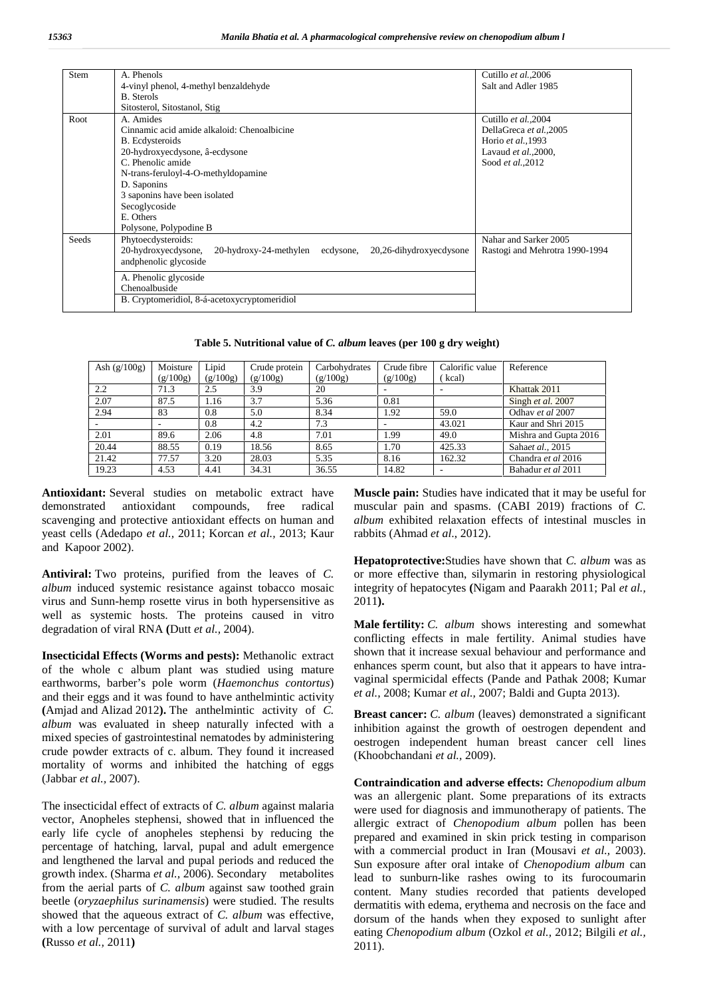| Stem  | A. Phenols                                                                         | Cutillo et al., 2006           |
|-------|------------------------------------------------------------------------------------|--------------------------------|
|       | 4-vinyl phenol, 4-methyl benzaldehyde                                              | Salt and Adler 1985            |
|       | <b>B.</b> Sterols                                                                  |                                |
|       | Sitosterol, Sitostanol, Stig                                                       |                                |
| Root  | A. Amides                                                                          | Cutillo et al., 2004           |
|       | Cinnamic acid amide alkaloid: Chenoalbicine                                        | DellaGreca et al., 2005        |
|       | <b>B.</b> Ecdysteroids                                                             | Horio et al., 1993             |
|       | 20-hydroxyecdysone, â-ecdysone                                                     | Lavaud et al., 2000,           |
|       | C. Phenolic amide                                                                  | Sood et al., 2012              |
|       | N-trans-feruloyl-4-O-methyldopamine                                                |                                |
|       | D. Saponins                                                                        |                                |
|       | 3 saponins have been isolated                                                      |                                |
|       | Secoglycoside                                                                      |                                |
|       | E. Others                                                                          |                                |
|       | Polysone, Polypodine B                                                             |                                |
| Seeds | Phytoecdysteroids:                                                                 | Nahar and Sarker 2005          |
|       | 20-hydroxyecdysone,<br>20,26-dihydroxyecdysone<br>20-hydroxy-24-methylen ecdysone, | Rastogi and Mehrotra 1990-1994 |
|       | andphenolic glycoside                                                              |                                |
|       |                                                                                    |                                |
|       | A. Phenolic glycoside                                                              |                                |
|       | Chenoalbuside                                                                      |                                |
|       | B. Cryptomeridiol, 8-á-acetoxycryptomeridiol                                       |                                |
|       |                                                                                    |                                |

**Table 5. Nutritional value of** *C. album* **leaves (per 100 g dry weight)**

| Ash $(g/100g)$ | Moisture<br>(g/100g)     | Lipid<br>(g/100g) | Crude protein<br>(g/100g) | Carbohydrates<br>(g/100g) | Crude fibre<br>(g/100g) | Calorific value<br>kcal) | Reference             |
|----------------|--------------------------|-------------------|---------------------------|---------------------------|-------------------------|--------------------------|-----------------------|
| 2.2            | 71.3                     | 2.5               | 3.9                       | 20                        |                         | -                        | Khattak 2011          |
| 2.07           | 87.5                     | 1.16              | 3.7                       | 5.36                      | 0.81                    |                          | Singh et al. 2007     |
| 2.94           | 83                       | 0.8               | 5.0                       | 8.34                      | 1.92                    | 59.0                     | Odhay et al 2007      |
|                | $\overline{\phantom{a}}$ | 0.8               | 4.2                       | 7.3                       | ۰                       | 43.021                   | Kaur and Shri 2015    |
| 2.01           | 89.6                     | 2.06              | 4.8                       | 7.01                      | 1.99                    | 49.0                     | Mishra and Gupta 2016 |
| 20.44          | 88.55                    | 0.19              | 18.56                     | 8.65                      | 1.70                    | 425.33                   | Sahaet al., 2015      |
| 21.42          | 77.57                    | 3.20              | 28.03                     | 5.35                      | 8.16                    | 162.32                   | Chandra et al 2016    |
| 19.23          | 4.53                     | 4.41              | 34.31                     | 36.55                     | 14.82                   | ۰                        | Bahadur et al 2011    |

**Antioxidant:** Several studies on metabolic extract have demonstrated antioxidant compounds, free radical scavenging and protective antioxidant effects on human and yeast cells (Adedapo *et al.,* 2011; Korcan *et al.,* 2013; Kaur and Kapoor 2002).

**Antiviral:** Two proteins, purified from the leaves of *C. album* induced systemic resistance against tobacco mosaic virus and Sunn-hemp rosette virus in both hypersensitive as well as systemic hosts. The proteins caused in vitro degradation of viral RNA **(**Dutt *etal.,* 2004).

**Insecticidal Effects (Worms and pests):** Methanolic extract of the whole c album plant was studied using mature earthworms, barber's pole worm (*Haemonchus contortus*) and their eggs and it was found to have anthelmintic activity **(**Amjad and Alizad 2012**).** The anthelmintic activity of *C. album* was evaluated in sheep naturally infected with a mixed species of gastrointestinal nematodes by administering crude powder extracts of c. album. They found it increased mortality of worms and inhibited the hatching of eggs (Jabbar *et al.,* 2007).

The insecticidal effect of extracts of *C. album* against malaria vector, Anopheles stephensi, showed that in influenced the early life cycle of anopheles stephensi by reducing the percentage of hatching, larval, pupal and adult emergence and lengthened the larval and pupal periods and reduced the growth index. (Sharma *et al.,* 2006). Secondary metabolites from the aerial parts of *C. album* against saw toothed grain beetle (*oryzaephilus surinamensis*) were studied. The results showed that the aqueous extract of *C. album* was effective, with a low percentage of survival of adult and larval stages **(**Russo *et al.,* 2011**)**

**Muscle pain:** Studies have indicated that it may be useful for muscular pain and spasms. (CABI 2019) fractions of *C. album* exhibited relaxation effects of intestinal muscles in rabbits (Ahmad *et al*., 2012).

**Hepatoprotective:**Studies have shown that *C. album* was as or more effective than, silymarin in restoring physiological integrity of hepatocytes **(**Nigam and Paarakh 2011; Pal *et al.,* 2011**).**

**Male fertility:** *C. album* shows interesting and somewhat conflicting effects in male fertility. Animal studies have shown that it increase sexual behaviour and performance and enhances sperm count, but also that it appears to have intra vaginal spermicidal effects (Pande and Pathak 2008; Kumar *et al.,* 2008; Kumar *et al.,* 2007; Baldi and Gupta 2013).

**Breast cancer:** *C. album* (leaves) demonstrated a significant inhibition against the growth of oestrogen dependent and oestrogen independent human breast cancer cell lines (Khoobchandani *et al.,* 2009).

**Contraindication and adverse effects:** *Chenopodium album* was an allergenic plant. Some preparations of its extracts were used for diagnosis and immunotherapy of patients. The allergic extract of *Chenopodium album* pollen has been prepared and examined in skin prick testing in comparison with a commercial product in Iran (Mousavi *et al.,* 2003). Sun exposure after oral intake of *Chenopodium album* can lead to sunburn-like rashes owing to its furocoumarin content. Many studies recorded that patients developed dermatitis with edema, erythema and necrosis on the face and dorsum of the hands when they exposed to sunlight after eating *Chenopodium album* (Ozkol *et al.,* 2012; Bilgili *et al.,* 2011).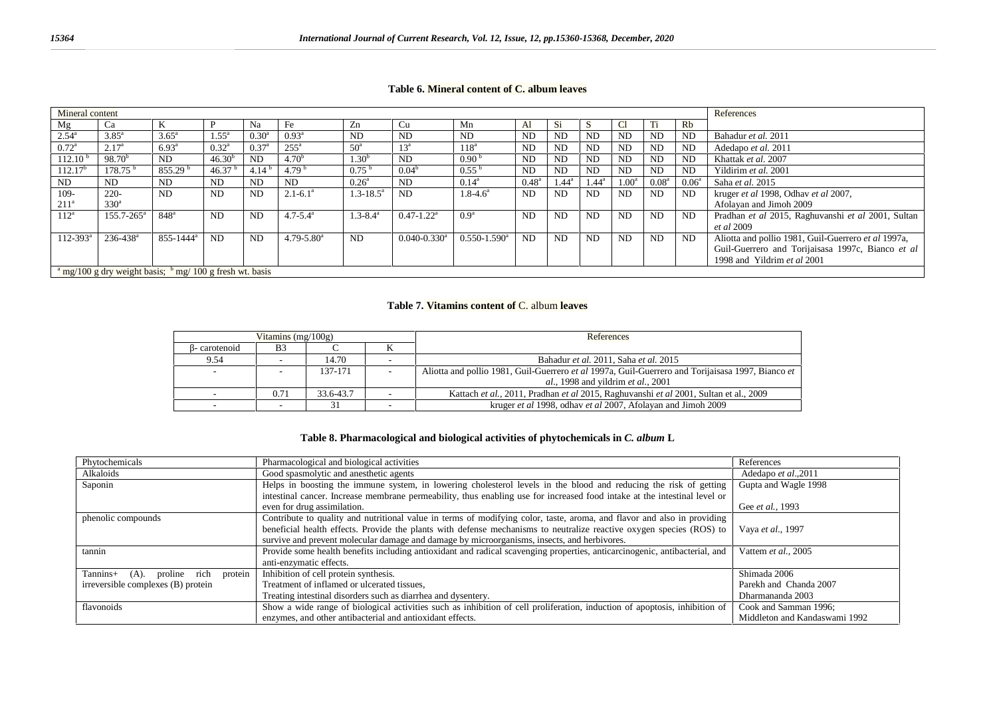| Mineral content          |                                                                                  |                           |                |                |                            |                           |                              |                              |                |                |                |                   |                   |                | References                                          |
|--------------------------|----------------------------------------------------------------------------------|---------------------------|----------------|----------------|----------------------------|---------------------------|------------------------------|------------------------------|----------------|----------------|----------------|-------------------|-------------------|----------------|-----------------------------------------------------|
| Mg                       | Ca                                                                               | K                         | P              | Na             | Fe                         | Zn                        | Cu                           | Mn                           | Al             | Si             |                | Cl                | Ti                | Rb             |                                                     |
| $2.54^{\rm a}$           | $3.85^{\circ}$                                                                   | $3.65^{\circ}$            | $1.55^{\circ}$ | $0.30^{\rm a}$ | $0.93^{\rm a}$             | ND.                       | ND.                          | ND.                          | N <sub>D</sub> | N <sub>D</sub> | <b>ND</b>      | N <sub>D</sub>    | ND                | <b>ND</b>      | Bahadur et al. 2011                                 |
| $0.72^{\rm a}$           | 2.17 <sup>a</sup>                                                                | $6.93^{\rm a}$            | $0.32^{\rm a}$ | $0.37^{\rm a}$ | $255^{\circ}$              | 50 <sup>a</sup>           | 13 <sup>a</sup>              | 118 <sup>a</sup>             | <b>ND</b>      | <b>ND</b>      | <b>ND</b>      | ND <sub></sub>    | <b>ND</b>         | <b>ND</b>      | Adedapo et al. 2011                                 |
| $112.10^{\frac{1}{2}}$   | $98.70^{b}$                                                                      | ND                        | $46.30^{b}$    | <b>ND</b>      | 4.70 <sup>b</sup>          | 1.30 <sup>b</sup>         | <b>ND</b>                    | 0.90 <sup>b</sup>            | N <sub>D</sub> | <b>ND</b>      | <b>ND</b>      | <b>ND</b>         | <b>ND</b>         | <b>ND</b>      | Khattak et al. 2007                                 |
| 112.17 <sup>b</sup>      | $178.75^{b}$                                                                     | 855.29 <sup>b</sup>       | 46.37          | 4.14 $b$       | 4.79 $b$                   | 0.75 <sup>b</sup>         | $0.04^b$                     | $0.55^{b}$                   | <b>ND</b>      | <b>ND</b>      | <b>ND</b>      | N <sub>D</sub>    | <b>ND</b>         | ND.            | Yildirim et al. 2001                                |
| <b>ND</b>                | ND.                                                                              | ND.                       | <b>ND</b>      | <b>ND</b>      | ND                         | $0.26^{\circ}$            | <b>ND</b>                    | $0.14^{\rm a}$               | $0.48^{\rm a}$ | $1.44^{\circ}$ | $1.44^{\rm a}$ | 1.00 <sup>a</sup> | 0.08 <sup>a</sup> | $0.06^{\rm a}$ | Saha et al. 2015                                    |
| 109-                     | $220 -$                                                                          | <b>ND</b>                 | <b>ND</b>      | <b>ND</b>      | $2.1 - 6.1^a$              | $1.3 - 18.5^{\mathrm{a}}$ | <b>ND</b>                    | $1.8 - 4.6^a$                | N <sub>D</sub> | <b>ND</b>      | <b>ND</b>      | <b>ND</b>         | <b>ND</b>         | ND             | kruger et al 1998, Odhav et al 2007,                |
| 211 <sup>a</sup>         | $330^{\circ}$                                                                    |                           |                |                |                            |                           |                              |                              |                |                |                |                   |                   |                | Afolayan and Jimoh 2009                             |
| $112^{\rm a}$            | $155.7 - 265^{\circ}$                                                            | 848 <sup>a</sup>          | ND.            | <b>ND</b>      | $4.7 - 5.4^{\circ}$        | $1.3 - 8.4^{\mathrm{a}}$  | $0.47 - 1.22$ <sup>a</sup>   | 0.9 <sup>a</sup>             | N <sub>D</sub> | <b>ND</b>      | ND             | <b>ND</b>         | <b>ND</b>         | ND             | Pradhan et al 2015, Raghuvanshi et al 2001, Sultan  |
|                          |                                                                                  |                           |                |                |                            |                           |                              |                              |                |                |                |                   |                   |                | <i>et al</i> 2009                                   |
| $112 - 393$ <sup>a</sup> | $236 - 438$ <sup>a</sup>                                                         | $855 - 1444$ <sup>a</sup> | <b>ND</b>      | <b>ND</b>      | $4.79 - 5.80$ <sup>a</sup> | N <sub>D</sub>            | $0.040 - 0.330$ <sup>a</sup> | $0.550 - 1.590$ <sup>a</sup> | <b>ND</b>      | <b>ND</b>      | <b>ND</b>      | <b>ND</b>         | <b>ND</b>         | ND             | Aliotta and pollio 1981, Guil-Guerrero et al 1997a, |
|                          |                                                                                  |                           |                |                |                            |                           |                              |                              |                |                |                |                   |                   |                | Guil-Guerrero and Torijaisasa 1997c, Bianco et al   |
|                          |                                                                                  |                           |                |                |                            |                           |                              |                              |                |                |                |                   |                   |                | 1998 and Yildrim et al 2001                         |
|                          | $\frac{1}{2}$ mg/100 g dry weight basis; $\frac{1}{2}$ mg/ 100 g fresh wt. basis |                           |                |                |                            |                           |                              |                              |                |                |                |                   |                   |                |                                                     |

### **Table 6. Mineral content of C. album leaves**

#### **Table 7. Vitamins content of** C. album **leaves**

|              | Vitamins $(mg/100g)$ |           | References                                                                                        |  |  |
|--------------|----------------------|-----------|---------------------------------------------------------------------------------------------------|--|--|
| - carotenoid | B <sub>3</sub>       |           |                                                                                                   |  |  |
| 9.54         |                      | 14.70     | Bahadur et al. 2011. Saha et al. 2015                                                             |  |  |
|              |                      | 137-171   | Aliotta and pollio 1981, Guil-Guerrero et al 1997a, Guil-Guerrero and Torijaisasa 1997, Bianco et |  |  |
|              |                      |           | <i>al.</i> , 1998 and yildrim <i>et al.</i> , 2001                                                |  |  |
|              | 0.71                 | 33.6-43.7 | Kattach et al., 2011, Pradhan et al 2015, Raghuvanshi et al 2001, Sultan et al., 2009             |  |  |
|              |                      |           | kruger et al 1998, odhav et al 2007, Afolayan and Jimoh 2009                                      |  |  |

### **Table 8. Pharmacological and biological activities of phytochemicals in** *C. album* **L**

| Phytochemicals                                    | Pharmacological and biological activities                                                                                  | References                    |
|---------------------------------------------------|----------------------------------------------------------------------------------------------------------------------------|-------------------------------|
| Alkaloids                                         | Good spasmolytic and anesthetic agents                                                                                     | Adedapo et al., 2011          |
| Saponin                                           | Helps in boosting the immune system, in lowering cholesterol levels in the blood and reducing the risk of getting          | Gupta and Wagle 1998          |
|                                                   | intestinal cancer. Increase membrane permeability, thus enabling use for increased food intake at the intestinal level or  |                               |
|                                                   | even for drug assimilation.                                                                                                | Gee et al., 1993              |
| phenolic compounds                                | Contribute to quality and nutritional value in terms of modifying color, taste, aroma, and flavor and also in providing    |                               |
|                                                   | beneficial health effects. Provide the plants with defense mechanisms to neutralize reactive oxygen species (ROS) to       | Vaya et al., 1997             |
|                                                   | survive and prevent molecular damage and damage by microorganisms, insects, and herbivores.                                |                               |
| tannin                                            | Provide some health benefits including antioxidant and radical scavenging properties, anticarcinogenic, antibacterial, and | Vattem et al., 2005           |
|                                                   | anti-enzymatic effects.                                                                                                    |                               |
| Tannins+<br>protein<br>rich<br>$(A)$ .<br>proline | Inhibition of cell protein synthesis.                                                                                      | Shimada 2006                  |
| irreversible complexes (B) protein                | Treatment of inflamed or ulcerated tissues,                                                                                | Parekh and Chanda 2007        |
|                                                   | Treating intestinal disorders such as diarrhea and dysentery.                                                              | Dharmananda 2003              |
| flavonoids                                        | Show a wide range of biological activities such as inhibition of cell proliferation, induction of apoptosis, inhibition of | Cook and Samman 1996;         |
|                                                   | enzymes, and other antibacterial and antioxidant effects.                                                                  | Middleton and Kandaswami 1992 |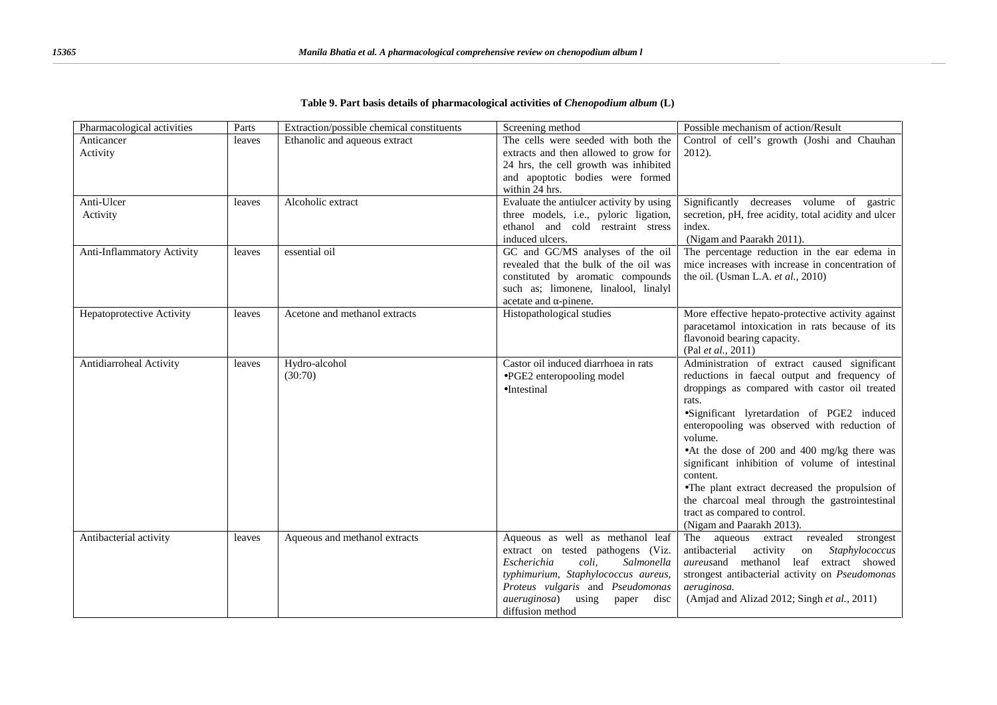| Pharmacological activities | Parts  | Extraction/possible chemical constituents | Screening method                                                                                                                                                                                                                                     | Possible mechanism of action/Result                                                                                                                                                                                                                                                                                                                                                                                                                                                                                                         |
|----------------------------|--------|-------------------------------------------|------------------------------------------------------------------------------------------------------------------------------------------------------------------------------------------------------------------------------------------------------|---------------------------------------------------------------------------------------------------------------------------------------------------------------------------------------------------------------------------------------------------------------------------------------------------------------------------------------------------------------------------------------------------------------------------------------------------------------------------------------------------------------------------------------------|
| Anticancer<br>Activity     | leaves | Ethanolic and aqueous extract             | The cells were seeded with both the<br>extracts and then allowed to grow for<br>24 hrs, the cell growth was inhibited<br>and apoptotic bodies were formed<br>within 24 hrs.                                                                          | Control of cell's growth (Joshi and Chauhan<br>2012).                                                                                                                                                                                                                                                                                                                                                                                                                                                                                       |
| Anti-Ulcer<br>Activity     | leaves | Alcoholic extract                         | Evaluate the antiulcer activity by using<br>three models, i.e., pyloric ligation,<br>ethanol and cold restraint stress<br>induced ulcers.                                                                                                            | Significantly<br>decreases volume of gastric<br>secretion, pH, free acidity, total acidity and ulcer<br>index.<br>(Nigam and Paarakh 2011).                                                                                                                                                                                                                                                                                                                                                                                                 |
| Anti-Inflammatory Activity | leaves | essential oil                             | GC and GC/MS analyses of the oil<br>revealed that the bulk of the oil was<br>constituted by aromatic compounds<br>such as; limonene, linalool, linalyl<br>acetate and -pinene.                                                                       | The percentage reduction in the ear edema in<br>mice increases with increase in concentration of<br>the oil. (Usman L.A. et al., 2010)                                                                                                                                                                                                                                                                                                                                                                                                      |
| Hepatoprotective Activity  | leaves | Acetone and methanol extracts             | Histopathological studies                                                                                                                                                                                                                            | More effective hepato-protective activity against<br>paracetamol intoxication in rats because of its<br>flavonoid bearing capacity.<br>(Pal et al., 2011)                                                                                                                                                                                                                                                                                                                                                                                   |
| Antidiarroheal Activity    | leaves | Hydro-alcohol<br>(30:70)                  | Castor oil induced diarrhoea in rats<br>JPGE2 enteropooling model<br>Intestinal                                                                                                                                                                      | Administration of extract caused significant<br>reductions in faecal output and frequency of<br>droppings as compared with castor oil treated<br>rats.<br>Significant lyretardation of PGE2 induced<br>enteropooling was observed with reduction of<br>volume.<br>At the dose of 200 and 400 mg/kg there was<br>significant inhibition of volume of intestinal<br>content.<br>The plant extract decreased the propulsion of<br>the charcoal meal through the gastrointestinal<br>tract as compared to control.<br>(Nigam and Paarakh 2013). |
| Antibacterial activity     | leaves | Aqueous and methanol extracts             | Aqueous as well as methanol leaf<br>extract on tested pathogens (Viz.<br>Escherichia<br>coli,<br>Salmonella<br>typhimurium, Staphylococcus aureus,<br>Proteus vulgaris and Pseudomonas<br>aueruginosa)<br>using<br>paper<br>disc<br>diffusion method | The aqueous extract revealed strongest<br>antibacterial<br>activity<br>Staphylococcus<br>on<br>aureusand methanol leaf extract showed<br>strongest antibacterial activity on Pseudomonas<br>aeruginosa.<br>(Amjad and Alizad 2012; Singh et al., 2011)                                                                                                                                                                                                                                                                                      |

### **Table 9. Part basis details of pharmacological activities of** *Chenopodium album* **(L)**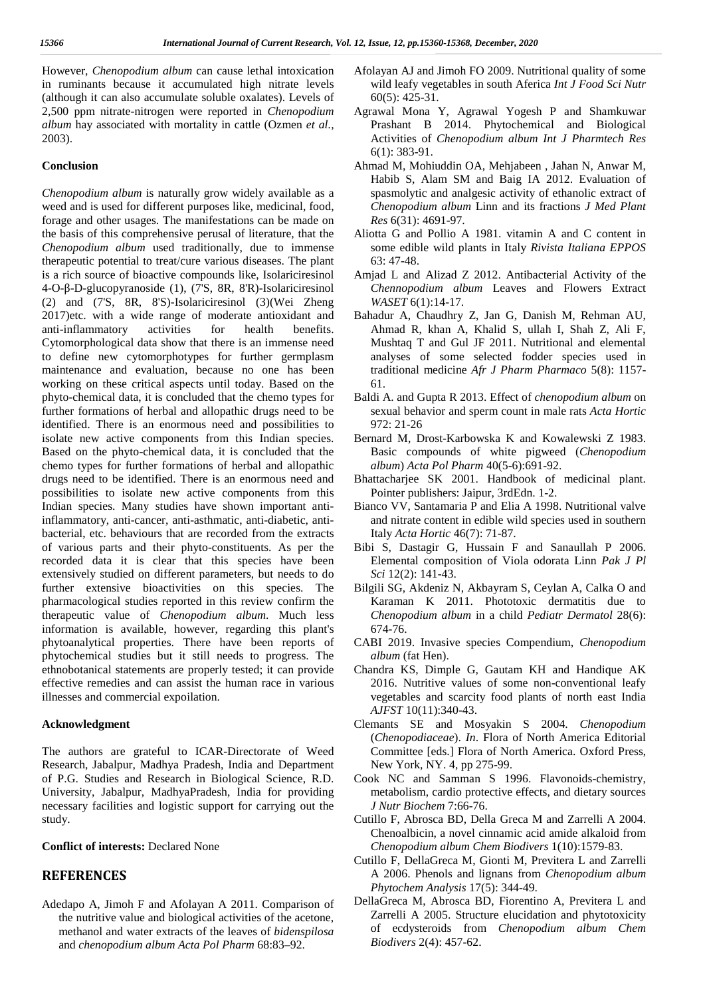However, *Chenopodium album* can cause lethal intoxication in ruminants because it accumulated high nitrate levels (although it can also accumulate soluble oxalates). Levels of 2,500 ppm nitrate-nitrogen were reported in *Chenopodium album* hay associated with mortality in cattle (Ozmen *et al.,* 2003).

#### **Conclusion**

*Chenopodium album* is naturally grow widely available as a weed and is used for different purposes like, medicinal, food, forage and other usages. The manifestations can be made on the basis of this comprehensive perusal of literature, that the *Chenopodium album* used traditionally, due to immense therapeutic potential to treat/cure various diseases. The plant is a rich source of bioactive compounds like, Isolariciresinol 4-O- -D-glucopyranoside (1), (7'S, 8R, 8'R)-Isolariciresinol (2) and (7'S, 8R, 8'S)-Isolariciresinol (3)(Wei Zheng 2017)etc. with a wide range of moderate antioxidant and anti-inflammatory activities for health benefits. Cytomorphological data show that there is an immense need to define new cytomorphotypes for further germplasm maintenance and evaluation, because no one has been working on these critical aspects until today. Based on the phyto-chemical data, it is concluded that the chemo types for further formations of herbal and allopathic drugs need to be identified. There is an enormous need and possibilities to isolate new active components from this Indian species. Based on the phyto-chemical data, it is concluded that the chemo types for further formations of herbal and allopathic drugs need to be identified. There is an enormous need and possibilities to isolate new active components from this Indian species. Many studies have shown important antiinflammatory, anti-cancer, anti-asthmatic, anti-diabetic, anti bacterial, etc. behaviours that are recorded from the extracts of various parts and their phyto-constituents. As per the recorded data it is clear that this species have been extensively studied on different parameters, but needs to do further extensive bioactivities on this species. The pharmacological studies reported in this review confirm the therapeutic value of *Chenopodium album*. Much less information is available, however, regarding this plant's phytoanalytical properties. There have been reports of phytochemical studies but it still needs to progress. The ethnobotanical statements are properly tested; it can provide effective remedies and can assist the human race in various illnesses and commercial expoilation.

#### **Acknowledgment**

The authors are grateful to ICAR-Directorate of Weed Research, Jabalpur, Madhya Pradesh, India and Department of P.G. Studies and Research in Biological Science, R.D. University, Jabalpur, MadhyaPradesh, India for providing necessary facilities and logistic support for carrying out the study.

#### **Conflict of interests:** Declared None

## **REFERENCES**

Adedapo A, Jimoh F and Afolayan A 2011. Comparison of the nutritive value and biological activities of the acetone, methanol and water extracts of the leaves of *bidenspilosa* and *chenopodium album Acta PolPharm* 68:83–92.

- Afolayan AJ and Jimoh FO 2009. Nutritional quality of some wild leafy vegetables in south Aferica *Int J Food Sci Nutr* 60(5): 425-31.
- Agrawal Mona Y, Agrawal Yogesh P and Shamkuwar Prashant B 2014. Phytochemical and Biological Activities of *Chenopodium album Int J Pharmtech Res* 6(1): 383-91.
- Ahmad M, Mohiuddin OA, Mehjabeen , Jahan N, Anwar M, Habib S, Alam SM and Baig IA 2012. Evaluation of spasmolytic and analgesic activity of ethanolic extract of *Chenopodium album* Linn and its fractions *J Med Plant Res* 6(31): 4691-97.
- Aliotta G and Pollio A 1981. vitamin A and C content in some edible wild plants in Italy *Rivista Italiana EPPOS* 63: 47-48.
- Amjad L and Alizad Z 2012. Antibacterial Activity of the *Chennopodium album* Leaves and Flowers Extract *WASET* 6(1):14-17.
- Bahadur A, Chaudhry Z, Jan G, Danish M, Rehman AU, Ahmad R, khan A, Khalid S, ullah I, Shah Z, Ali F, Mushtaq T and Gul JF 2011. Nutritional and elemental analyses of some selected fodder species used in traditional medicine *Afr J Pharm Pharmaco* 5(8): 1157- 61.
- Baldi A. and Gupta R 2013. Effect of *chenopodium album* on sexual behavior and sperm count in male rats *Acta Hortic* 972: 21-26
- Bernard M, Drost-Karbowska K and Kowalewski Z 1983. Basic compounds of white pigweed (*Chenopodium album*) *Acta PolPharm* 40(5-6):691-92.
- Bhattacharjee SK 2001. Handbook of medicinal plant. Pointer publishers: Jaipur, 3rdEdn. 1-2.
- Bianco VV, Santamaria P and Elia A 1998. Nutritional valve and nitrate content in edible wild species used in southern Italy *Acta Hortic* 46(7): 71-87.
- Bibi S, Dastagir G, Hussain F and Sanaullah P 2006. Elemental composition of Viola odorata Linn *Pak J Pl Sci* 12(2): 141-43.
- Bilgili SG, Akdeniz N, Akbayram S, Ceylan A, Calka O and Karaman K 2011. Phototoxic dermatitis due to *Chenopodium album* in a child *Pediatr Dermatol* 28(6): 674-76.
- CABI 2019. Invasive species Compendium, *Chenopodium album* (fat Hen).
- Chandra KS, Dimple G, Gautam KH and Handique AK 2016. Nutritive values of some non-conventional leafy vegetables and scarcity food plants of north east India *AJFST* 10(11):340-43.
- Clemants SE and Mosyakin S 2004. *Chenopodium* (*Chenopodiaceae*). *In*. Flora of North America Editorial Committee [eds.] Flora of North America. Oxford Press, New York, NY. 4, pp 275-99.
- Cook NC and Samman S 1996. Flavonoids-chemistry, metabolism, cardio protective effects, and dietary sources *J Nutr Biochem* 7:66-76.
- Cutillo F, Abrosca BD, Della Greca M and Zarrelli A 2004. Chenoalbicin, a novel cinnamic acid amide alkaloid from *Chenopodium album Chem Biodivers* 1(10):1579-83.
- Cutillo F, DellaGreca M, Gionti M, Previtera L and Zarrelli A 2006. Phenols and lignans from *Chenopodium album Phytochem Analysis* 17(5): 344-49.
- DellaGreca M, Abrosca BD, Fiorentino A, Previtera L and Zarrelli A 2005. Structure elucidation and phytotoxicity of ecdysteroids from *Chenopodium album Chem Biodivers* 2(4): 457-62.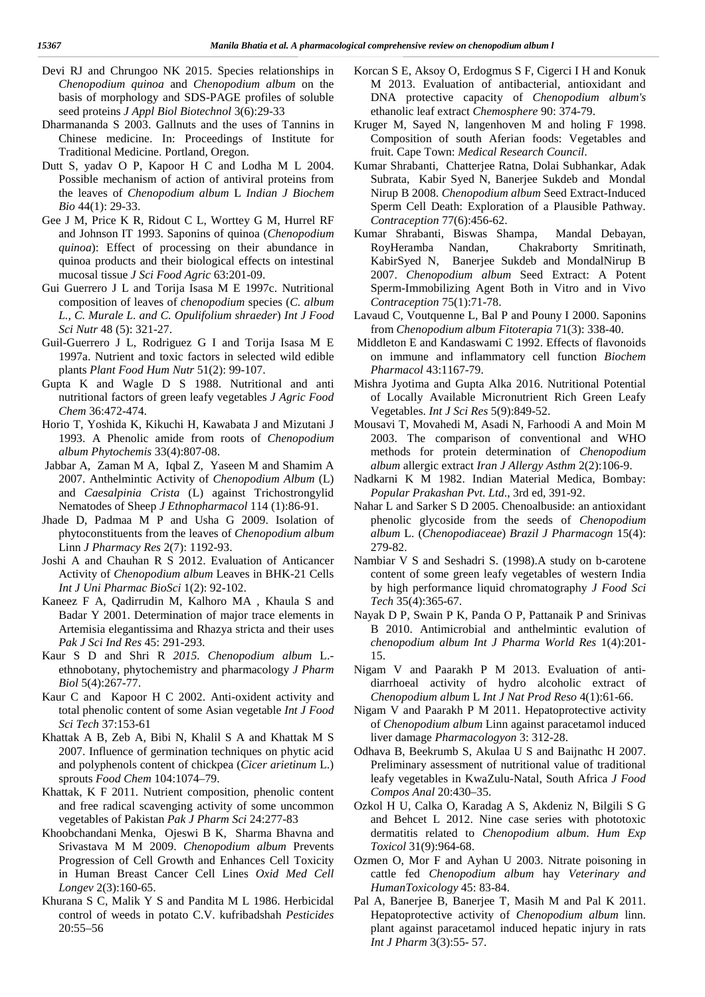- Devi RJ and Chrungoo NK 2015. Species relationships in *Chenopodium quinoa* and *Chenopodium album* on the basis of morphology and SDS-PAGE profiles of soluble seed proteins *J Appl Biol Biotechnol* 3(6):29-33
- Dharmananda S 2003. Gallnuts and the uses of Tannins in Chinese medicine. In: Proceedings of Institute for Traditional Medicine. Portland, Oregon.
- Dutt S, yadav O P, Kapoor H C and Lodha M L 2004. Possible mechanism of action of antiviral proteins from the leaves of *Chenopodium album* L *Indian J Biochem Bio* 44(1): 29-33.
- Gee J M, Price K R, Ridout C L, Worttey G M, Hurrel RF and Johnson IT 1993. Saponins of quinoa (*Chenopodium quinoa*): Effect of processing on their abundance in quinoa products and their biological effects on intestinal mucosal tissue *J Sci Food Agric* 63:201-09.
- Gui Guerrero JL and Torija Isasa M E 1997c. Nutritional composition of leaves of *chenopodium* species (*C. album L., C. Murale L. and C. Opulifolium shraeder*) *Int J Food Sci Nutr* 48 (5): 321-27.
- Guil-Guerrero J L, Rodriguez G I and Torija Isasa M E 1997a. Nutrient and toxic factors in selected wild edible plants *Plant Food Hum Nutr* 51(2): 99-107.
- Gupta K and Wagle D S 1988. Nutritional and anti nutritional factors of green leafy vegetables *J Agric Food Chem* 36:472-474.
- Horio T, Yoshida K, Kikuchi H, Kawabata J and Mizutani J 1993. A Phenolic amide from roots of *Chenopodium album Phytochemis* 33(4):807-08.
- Jabbar A, Zaman M A, Iqbal Z, Yaseen M and Shamim A 2007. Anthelmintic Activity of*Chenopodium Album* (L) and *Caesalpinia Crista* (L) against Trichostrongylid Nematodes of Sheep *J Ethnopharmacol* 114 (1):86-91.
- Jhade D, Padmaa M P and Usha G 2009. Isolation of phytoconstituents from the leaves of *Chenopodium album* Linn *J Pharmacy Res* 2(7): 1192-93.
- Joshi A and Chauhan R S 2012. Evaluation of Anticancer Activity of *Chenopodium album* Leaves in BHK-21 Cells *Int J Uni Pharmac BioSci* 1(2): 92-102.
- Kaneez F A, Qadirrudin M, Kalhoro MA , Khaula S and Badar Y 2001. Determination of major trace elements in Artemisia elegantissima and Rhazya stricta and their uses *Pak J Sci Ind Res* 45: 291-293.
- Kaur S D and Shri R *2015. Chenopodium album* L. ethnobotany, phytochemistry and pharmacology *J Pharm Biol* 5(4):267*-*77.
- Kaur C and Kapoor H C 2002. Anti-oxident activity and total phenolic content of some Asian vegetable *Int J Food Sci Tech* 37:153-61
- Khattak A B, Zeb A, Bibi N, Khalil S A and Khattak M S 2007. Influence of germination techniques on phytic acid and polyphenols content of chickpea (*Cicer arietinum* L.) sprouts *Food Chem* 104:1074–79.
- Khattak, K F 2011. Nutrient composition, phenolic content and free radical scavenging activity of some uncommon vegetables of Pakistan *Pak J Pharm Sci* 24:277-83
- Khoobchandani Menka, Ojeswi B K, Sharma Bhavna and Srivastava M M 2009. *Chenopodium album* Prevents Progression of Cell Growth and Enhances Cell Toxicity in Human Breast Cancer Cell Lines *Oxid Med Cell Longev* 2(3):160-65.
- Khurana S C, Malik Y S and Pandita M L 1986. Herbicidal control of weeds in potato C.V. kufribadshah *Pesticides* 20:55–56
- Korcan S E, Aksoy O, Erdogmus S F, Cigerci I H and Konuk M 2013. Evaluation of antibacterial, antioxidant and DNA protective capacity of *Chenopodium album's* ethanolic leaf extract *Chemosphere* 90: 374-79.
- Kruger M, Sayed N, langenhoven M and holing F 1998. Composition of south Aferian foods: Vegetables and fruit. Cape Town: *Medical Research Council*.
- Kumar Shrabanti, Chatterjee Ratna, Dolai Subhankar, Adak Subrata, Kabir Syed N, Banerjee Sukdeb and Mondal Nirup B 2008. *Chenopodium album* Seed Extract-Induced Sperm Cell Death: Exploration of a Plausible Pathway. *Contraception* 77(6):456-62.
- Kumar Shrabanti, Biswas Shampa, Mandal Debayan, RoyHeramba Nandan, Chakraborty Smritinath, KabirSyed N, Banerjee Sukdeb and MondalNirup B 2007. *Chenopodium album* Seed Extract: A Potent Sperm-Immobilizing Agent Both in Vitro and in Vivo *Contraception* 75(1):71-78.
- Lavaud C, Voutquenne L, Bal P and Pouny I 2000. Saponins from *Chenopodium album Fitoterapia* 71(3): 338-40.
- Middleton E and Kandaswami C 1992. Effects of flavonoids on immune and inflammatory cell function *Biochem Pharmacol* 43:1167-79.
- Mishra Jyotima and Gupta Alka 2016. Nutritional Potential of Locally Available Micronutrient Rich Green Leafy Vegetables. *Int J Sci Res* 5(9):849-52.
- Mousavi T, Movahedi M, Asadi N, Farhoodi A and Moin M 2003. The comparison of conventional and WHO methods for protein determination of *Chenopodium album* allergic extract *Iran J Allergy Asthm* 2(2):106-9.
- Nadkarni K M 1982. Indian Material Medica, Bombay: *Popular Prakashan Pvt.Ltd*., 3rd ed, 391-92.
- Nahar L and Sarker S D 2005. Chenoalbuside: an antioxidant phenolic glycoside from the seeds of *Chenopodium album* L. (*Chenopodiaceae*) *Brazil J Pharmacogn* 15(4): 279-82.
- Nambiar V S and Seshadri S. (1998).A study on b-carotene content of some green leafy vegetables of western India by high performance liquid chromatography *J Food Sci Tech* 35(4):365-67.
- Nayak D P, Swain P K, Panda O P, Pattanaik P and Srinivas B 2010. Antimicrobial and anthelmintic evalution of *chenopodium album Int J Pharma World Res* 1(4):201- 15.
- Nigam V and Paarakh P M 2013. Evaluation of anti diarrhoeal activity of hydro alcoholic extract of *Chenopodium album* L*Int J Nat Prod Reso* 4(1):61-66.
- Nigam V and Paarakh P M 2011. Hepatoprotective activity of *Chenopodium album* Linn against paracetamol induced liver damage *Pharmacologyon* 3: 312-28.
- Odhava B, Beekrumb S, Akulaa U S and Baijnathc H 2007. Preliminary assessment of nutritional value of traditional leafy vegetables in KwaZulu-Natal, South Africa *J Food Compos Anal* 20:430–35.
- Ozkol H U, Calka O, Karadag A S, Akdeniz N, Bilgili S G and Behcet L 2012. Nine case series with phototoxic dermatitis related to *Chenopodium album*. *Hum Exp Toxicol* 31(9):964-68.
- Ozmen O, Mor F and Ayhan U 2003. Nitrate poisoning in cattle fed *Chenopodium album* hay *Veterinary and HumanToxicology* 45: 83-84.
- Pal A, Banerjee B, Banerjee T, Masih M and Pal K 2011. Hepatoprotective activity of *Chenopodium album* linn. plant against paracetamol induced hepatic injury in rats *Int J Pharm* 3(3):55- 57.